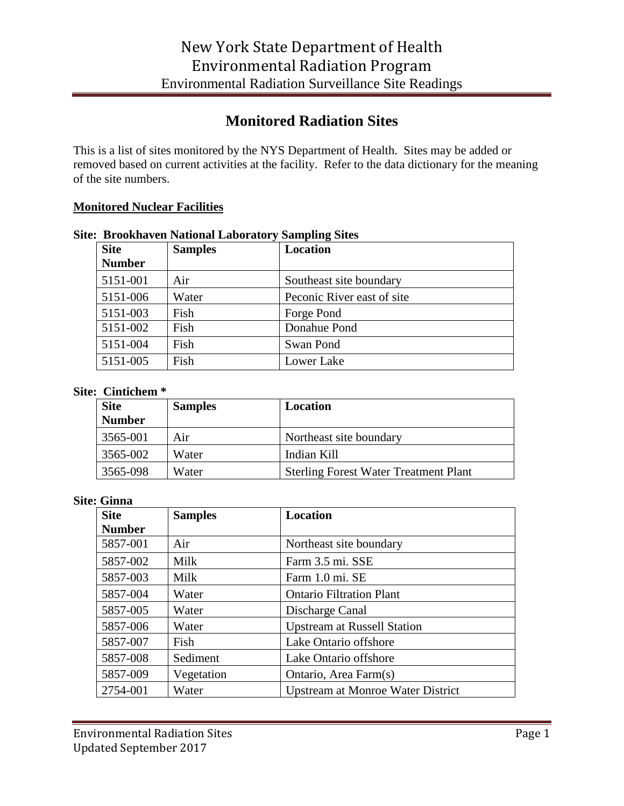## **Monitored Radiation Sites**

This is a list of sites monitored by the NYS Department of Health. Sites may be added or removed based on current activities at the facility. Refer to the data dictionary for the meaning of the site numbers.

#### **Monitored Nuclear Facilities**

#### **Site: Brookhaven National Laboratory Sampling Sites**

| <b>Site</b><br><b>Number</b> | <b>Samples</b> | Location                   |
|------------------------------|----------------|----------------------------|
| 5151-001                     | Air            | Southeast site boundary    |
| 5151-006                     | Water          | Peconic River east of site |
| 5151-003                     | Fish           | Forge Pond                 |
| 5151-002                     | Fish           | Donahue Pond               |
| 5151-004                     | Fish           | Swan Pond                  |
| 5151-005                     | Fish           | Lower Lake                 |

#### **Site: Cintichem \***

| <b>Site</b><br><b>Number</b> | <b>Samples</b> | Location                                     |
|------------------------------|----------------|----------------------------------------------|
| 3565-001                     | Air            | Northeast site boundary                      |
| 3565-002                     | Water          | Indian Kill                                  |
| 3565-098                     | Water          | <b>Sterling Forest Water Treatment Plant</b> |

#### **Site: Ginna**

| <b>Site</b>   | <b>Samples</b> | <b>Location</b>                    |
|---------------|----------------|------------------------------------|
| <b>Number</b> |                |                                    |
| 5857-001      | Air            | Northeast site boundary            |
| 5857-002      | Milk           | Farm 3.5 mi. SSE                   |
| 5857-003      | Milk           | Farm 1.0 mi. SE                    |
| 5857-004      | Water          | <b>Ontario Filtration Plant</b>    |
| 5857-005      | Water          | Discharge Canal                    |
| 5857-006      | Water          | <b>Upstream at Russell Station</b> |
| 5857-007      | Fish           | Lake Ontario offshore              |
| 5857-008      | Sediment       | Lake Ontario offshore              |
| 5857-009      | Vegetation     | Ontario, Area Farm(s)              |
| 2754-001      | Water          | Upstream at Monroe Water District  |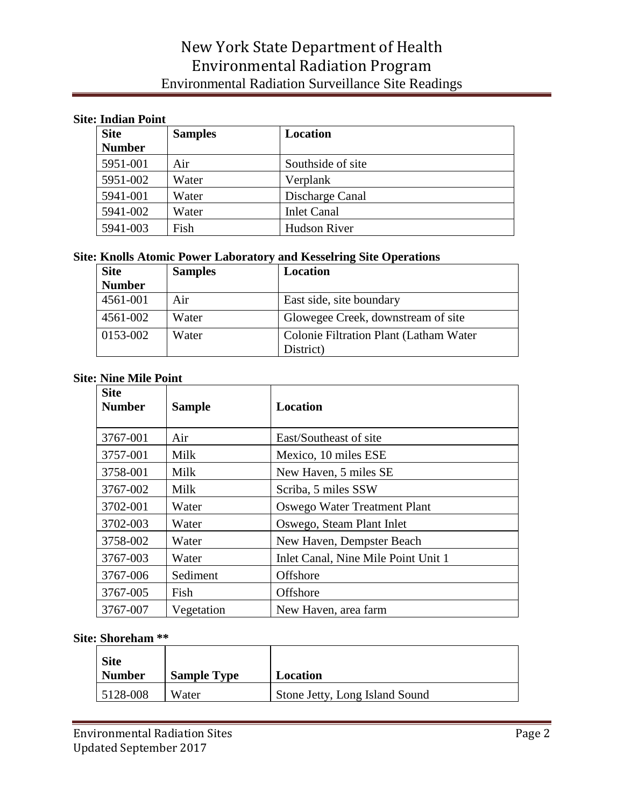# New York State Department of Health Environmental Radiation Program Environmental Radiation Surveillance Site Readings

### **Site: Indian Point**

| <b>Site</b><br><b>Number</b> | <b>Samples</b> | <b>Location</b>     |
|------------------------------|----------------|---------------------|
|                              |                |                     |
| 5951-001                     | Air            | Southside of site   |
| 5951-002                     | Water          | Verplank            |
| 5941-001                     | Water          | Discharge Canal     |
| 5941-002                     | Water          | <b>Inlet Canal</b>  |
| 5941-003                     | Fish           | <b>Hudson River</b> |

#### **Site: Knolls Atomic Power Laboratory and Kesselring Site Operations**

| <b>Site</b>   | <b>Samples</b> | Location                                            |
|---------------|----------------|-----------------------------------------------------|
| <b>Number</b> |                |                                                     |
| 4561-001      | Air            | East side, site boundary                            |
| 4561-002      | Water          | Glowegee Creek, downstream of site                  |
| 0153-002      | Water          | Colonie Filtration Plant (Latham Water<br>District) |
|               |                |                                                     |

#### **Site: Nine Mile Point**

| <b>Site</b><br><b>Number</b> | <b>Sample</b> | <b>Location</b>                     |
|------------------------------|---------------|-------------------------------------|
| 3767-001                     | Air           | East/Southeast of site              |
| 3757-001                     | Milk          | Mexico, 10 miles ESE                |
| 3758-001                     | Milk          | New Haven, 5 miles SE               |
| 3767-002                     | Milk          | Scriba, 5 miles SSW                 |
| 3702-001                     | Water         | Oswego Water Treatment Plant        |
| 3702-003                     | Water         | Oswego, Steam Plant Inlet           |
| 3758-002                     | Water         | New Haven, Dempster Beach           |
| 3767-003                     | Water         | Inlet Canal, Nine Mile Point Unit 1 |
| 3767-006                     | Sediment      | Offshore                            |
| 3767-005                     | Fish          | Offshore                            |
| 3767-007                     | Vegetation    | New Haven, area farm                |

#### **Site: Shoreham \*\***

|  | <b>Site</b><br><b>Number</b> | <b>Sample Type</b> | Location                       |
|--|------------------------------|--------------------|--------------------------------|
|  | 5128-008                     | Water              | Stone Jetty, Long Island Sound |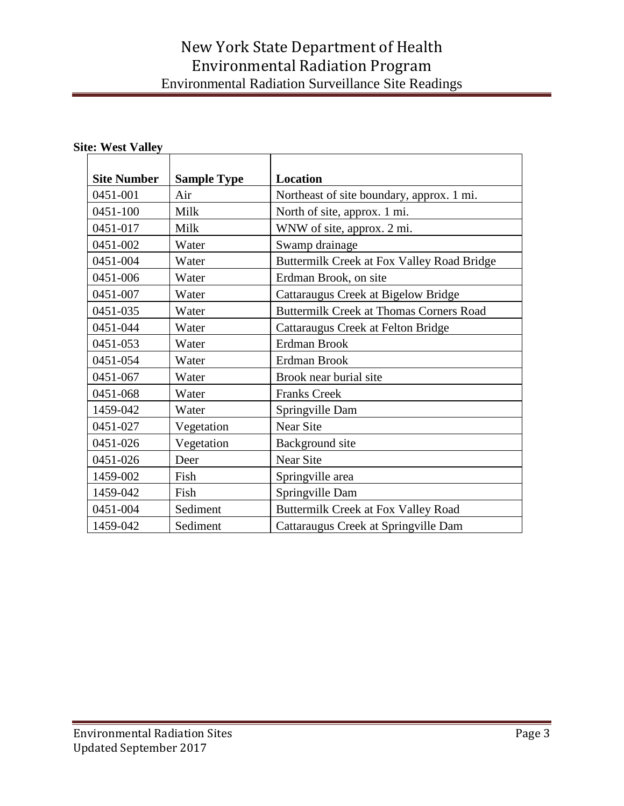## New York State Department of Health Environmental Radiation Program Environmental Radiation Surveillance Site Readings

### **Site: West Valley**

| <b>Site Number</b> | <b>Sample Type</b> | <b>Location</b>                                |
|--------------------|--------------------|------------------------------------------------|
| 0451-001           | Air                | Northeast of site boundary, approx. 1 mi.      |
| 0451-100           | Milk               | North of site, approx. 1 mi.                   |
| 0451-017           | Milk               | WNW of site, approx. 2 mi.                     |
| 0451-002           | Water              | Swamp drainage                                 |
| 0451-004           | Water              | Buttermilk Creek at Fox Valley Road Bridge     |
| 0451-006           | Water              | Erdman Brook, on site                          |
| 0451-007           | Water              | Cattaraugus Creek at Bigelow Bridge            |
| 0451-035           | Water              | <b>Buttermilk Creek at Thomas Corners Road</b> |
| 0451-044           | Water              | Cattaraugus Creek at Felton Bridge             |
| 0451-053           | Water              | Erdman Brook                                   |
| 0451-054           | Water              | Erdman Brook                                   |
| 0451-067           | Water              | Brook near burial site                         |
| 0451-068           | Water              | <b>Franks Creek</b>                            |
| 1459-042           | Water              | Springville Dam                                |
| 0451-027           | Vegetation         | <b>Near Site</b>                               |
| 0451-026           | Vegetation         | Background site                                |
| 0451-026           | Deer               | Near Site                                      |
| 1459-002           | Fish               | Springville area                               |
| 1459-042           | Fish               | Springville Dam                                |
| 0451-004           | Sediment           | Buttermilk Creek at Fox Valley Road            |
| 1459-042           | Sediment           | Cattaraugus Creek at Springville Dam           |